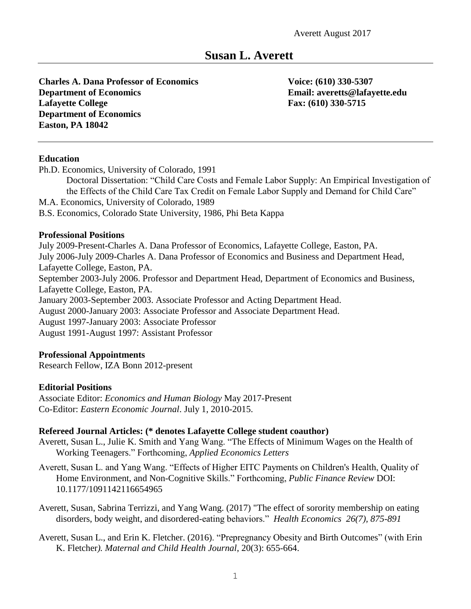# **Susan L. Averett**

**Charles A. Dana Professor of Economics Voice: (610) 330-5307 Department of Economics Email: averetts@lafayette.edu Lafayette College Fax: (610) 330-5715 Department of Economics Easton, PA 18042**

#### **Education**

Ph.D. Economics, University of Colorado, 1991

Doctoral Dissertation: "Child Care Costs and Female Labor Supply: An Empirical Investigation of the Effects of the Child Care Tax Credit on Female Labor Supply and Demand for Child Care" M.A. Economics, University of Colorado, 1989

B.S. Economics, Colorado State University, 1986, Phi Beta Kappa

#### **Professional Positions**

July 2009-Present-Charles A. Dana Professor of Economics, Lafayette College, Easton, PA. July 2006-July 2009-Charles A. Dana Professor of Economics and Business and Department Head, Lafayette College, Easton, PA. September 2003-July 2006. Professor and Department Head, Department of Economics and Business, Lafayette College, Easton, PA. January 2003-September 2003. Associate Professor and Acting Department Head. August 2000-January 2003: Associate Professor and Associate Department Head. August 1997-January 2003: Associate Professor August 1991-August 1997: Assistant Professor

#### **Professional Appointments**

Research Fellow, IZA Bonn 2012-present

#### **Editorial Positions**

Associate Editor: *Economics and Human Biology* May 2017-Present Co-Editor: *Eastern Economic Journal*. July 1, 2010-2015.

#### **Refereed Journal Articles: (\* denotes Lafayette College student coauthor)**

- Averett, Susan L., Julie K. Smith and Yang Wang. "The Effects of Minimum Wages on the Health of Working Teenagers." Forthcoming, *Applied Economics Letters*
- Averett, Susan L. and Yang Wang. "Effects of Higher EITC Payments on Children's Health, Quality of Home Environment, and Non-Cognitive Skills." Forthcoming, *Public Finance Review* DOI: 10.1177/1091142116654965
- Averett, Susan, Sabrina Terrizzi, and Yang Wang. (2017) "The effect of sorority membership on eating disorders, body weight, and disordered-eating behaviors." *Health Economics 26(7), 875-891*
- Averett, Susan L., and Erin K. Fletcher. (2016). "Prepregnancy Obesity and Birth Outcomes" (with Erin K. Fletcher*). Maternal and Child Health Journal*, 20(3): 655-664.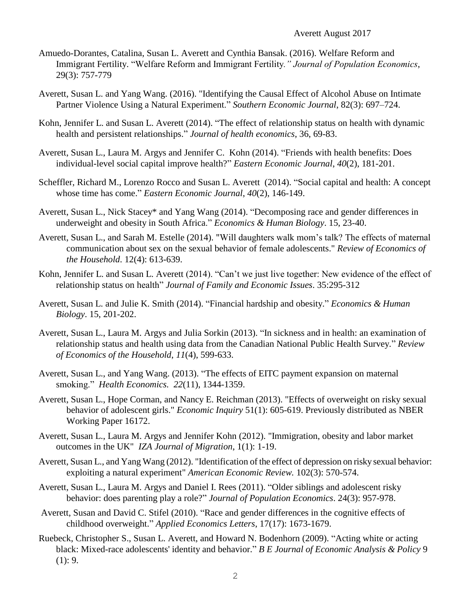- Amuedo-Dorantes, Catalina, Susan L. Averett and Cynthia Bansak. (2016). Welfare Reform and Immigrant Fertility. "Welfare Reform and Immigrant Fertility*." Journal of Population Economics*, 29(3): 757-779
- Averett, Susan L. and Yang Wang. (2016). "Identifying the Causal Effect of Alcohol Abuse on Intimate Partner Violence Using a Natural Experiment." *Southern Economic Journal*, 82(3): 697–724.
- Kohn, Jennifer L. and Susan L. Averett (2014). "The effect of relationship status on health with dynamic health and persistent relationships." *Journal of health economics*, 36, 69-83.
- Averett, Susan L., Laura M. Argys and Jennifer C. Kohn (2014). "Friends with health benefits: Does individual-level social capital improve health?" *Eastern Economic Journal*, *40*(2), 181-201.
- Scheffler, Richard M., Lorenzo Rocco and Susan L. Averett (2014). "Social capital and health: A concept whose time has come." *Eastern Economic Journal*, *40*(2), 146-149.
- Averett, Susan L., Nick Stacey\* and Yang Wang (2014). "Decomposing race and gender differences in underweight and obesity in South Africa." *Economics & Human Biology*. 15, 23-40.
- Averett, Susan L., and Sarah M. Estelle (2014). "Will daughters walk mom's talk? The effects of maternal communication about sex on the sexual behavior of female adolescents." *Review of Economics of the Household*. 12(4): 613-639.
- Kohn, Jennifer L. and Susan L. Averett (2014). "Can't we just live together: New evidence of the effect of relationship status on health" *Journal of Family and Economic Issues*. 35:295-312
- Averett, Susan L. and Julie K. Smith (2014). "Financial hardship and obesity." *Economics & Human Biology*. 15, 201-202.
- Averett, Susan L., Laura M. Argys and Julia Sorkin (2013). "In sickness and in health: an examination of relationship status and health using data from the Canadian National Public Health Survey." *Review of Economics of the Household*, *11*(4), 599-633.
- Averett, Susan L., and Yang Wang. (2013). "The effects of EITC payment expansion on maternal smoking." *Health Economics. 22*(11), 1344-1359.
- Averett, Susan L., Hope Corman, and Nancy E. Reichman (2013). "Effects of overweight on risky sexual behavior of adolescent girls." *Economic Inquiry* 51(1): 605-619. Previously distributed as NBER Working Paper 16172.
- Averett, Susan L., Laura M. Argys and Jennifer Kohn (2012). "Immigration, obesity and labor market outcomes in the UK" *IZA Journal of Migration*, 1(1): 1-19.
- Averett, Susan L., and Yang Wang (2012). "Identification of the effect of depression on risky sexual behavior: exploiting a natural experiment" *American Economic Review.* 102(3): 570-574.
- Averett, Susan L., Laura M. Argys and Daniel I. Rees (2011). "Older siblings and adolescent risky behavior: does parenting play a role?" *Journal of Population Economics*. 24(3): 957-978.
- Averett, Susan and David C. Stifel (2010). "Race and gender differences in the cognitive effects of childhood overweight." *Applied Economics Letters*, 17(17): 1673-1679.
- Ruebeck, Christopher S., Susan L. Averett, and Howard N. Bodenhorn (2009). "Acting white or acting black: Mixed-race adolescents' identity and behavior." *B E Journal of Economic Analysis & Policy* 9  $(1): 9.$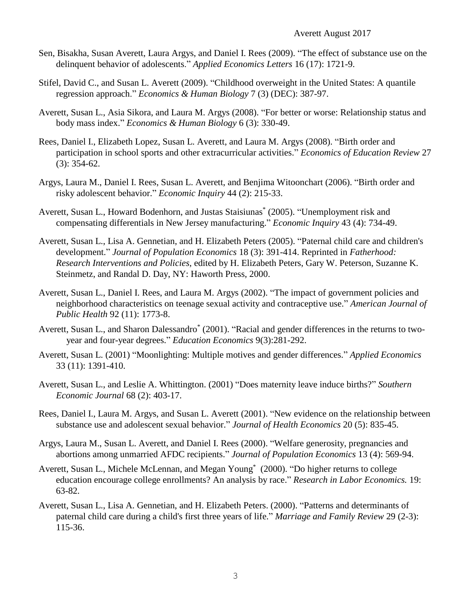- Sen, Bisakha, Susan Averett, Laura Argys, and Daniel I. Rees (2009). "The effect of substance use on the delinquent behavior of adolescents." *Applied Economics Letters* 16 (17): 1721-9.
- Stifel, David C., and Susan L. Averett (2009). "Childhood overweight in the United States: A quantile regression approach." *Economics & Human Biology* 7 (3) (DEC): 387-97.
- Averett, Susan L., Asia Sikora, and Laura M. Argys (2008). "For better or worse: Relationship status and body mass index." *Economics & Human Biology* 6 (3): 330-49.
- Rees, Daniel I., Elizabeth Lopez, Susan L. Averett, and Laura M. Argys (2008). "Birth order and participation in school sports and other extracurricular activities." *Economics of Education Review* 27 (3): 354-62.
- Argys, Laura M., Daniel I. Rees, Susan L. Averett, and Benjima Witoonchart (2006). "Birth order and risky adolescent behavior." *Economic Inquiry* 44 (2): 215-33.
- Averett, Susan L., Howard Bodenhorn, and Justas Staisiunas\* (2005). "Unemployment risk and compensating differentials in New Jersey manufacturing." *Economic Inquiry* 43 (4): 734-49.
- Averett, Susan L., Lisa A. Gennetian, and H. Elizabeth Peters (2005). "Paternal child care and children's development." *Journal of Population Economics* 18 (3): 391-414. Reprinted in *Fatherhood: Research Interventions and Policies*, edited by H. Elizabeth Peters, Gary W. Peterson, Suzanne K. Steinmetz, and Randal D. Day, NY: Haworth Press, 2000.
- Averett, Susan L., Daniel I. Rees, and Laura M. Argys (2002). "The impact of government policies and neighborhood characteristics on teenage sexual activity and contraceptive use." *American Journal of Public Health* 92 (11): 1773-8.
- Averett, Susan L., and Sharon Dalessandro<sup>\*</sup> (2001). "Racial and gender differences in the returns to twoyear and four-year degrees." *Education Economics* 9(3):281-292.
- Averett, Susan L. (2001) "Moonlighting: Multiple motives and gender differences." *Applied Economics* 33 (11): 1391-410.
- Averett, Susan L., and Leslie A. Whittington. (2001) "Does maternity leave induce births?" *Southern Economic Journal* 68 (2): 403-17.
- Rees, Daniel I., Laura M. Argys, and Susan L. Averett (2001). "New evidence on the relationship between substance use and adolescent sexual behavior." *Journal of Health Economics* 20 (5): 835-45.
- Argys, Laura M., Susan L. Averett, and Daniel I. Rees (2000). "Welfare generosity, pregnancies and abortions among unmarried AFDC recipients." *Journal of Population Economics* 13 (4): 569-94.
- Averett, Susan L., Michele McLennan, and Megan Young\* (2000). "Do higher returns to college education encourage college enrollments? An analysis by race." *Research in Labor Economics.* 19: 63-82.
- Averett, Susan L., Lisa A. Gennetian, and H. Elizabeth Peters. (2000). "Patterns and determinants of paternal child care during a child's first three years of life." *Marriage and Family Review* 29 (2-3): 115-36.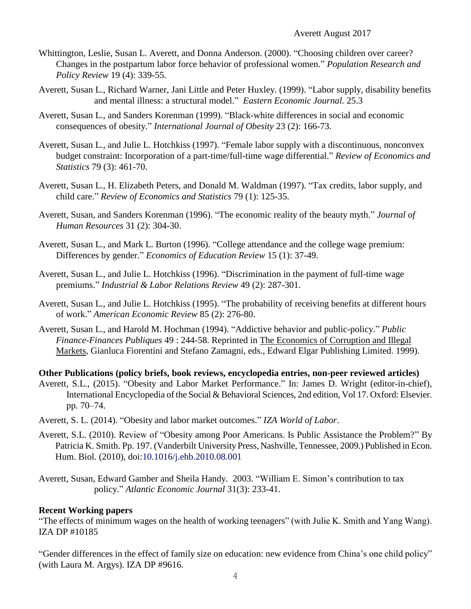- Whittington, Leslie, Susan L. Averett, and Donna Anderson. (2000). "Choosing children over career? Changes in the postpartum labor force behavior of professional women." *Population Research and Policy Review* 19 (4): 339-55.
- Averett, Susan L., Richard Warner, Jani Little and Peter Huxley. (1999). "Labor supply, disability benefits and mental illness: a structural model." *Eastern Economic Journal.* 25.3
- Averett, Susan L., and Sanders Korenman (1999). "Black-white differences in social and economic consequences of obesity." *International Journal of Obesity* 23 (2): 166-73.
- Averett, Susan L., and Julie L. Hotchkiss (1997). "Female labor supply with a discontinuous, nonconvex budget constraint: Incorporation of a part-time/full-time wage differential." *Review of Economics and Statistics* 79 (3): 461-70.
- Averett, Susan L., H. Elizabeth Peters, and Donald M. Waldman (1997). "Tax credits, labor supply, and child care." *Review of Economics and Statistics* 79 (1): 125-35.
- Averett, Susan, and Sanders Korenman (1996). "The economic reality of the beauty myth." *Journal of Human Resources* 31 (2): 304-30.
- Averett, Susan L., and Mark L. Burton (1996). "College attendance and the college wage premium: Differences by gender." *Economics of Education Review* 15 (1): 37-49.
- Averett, Susan L., and Julie L. Hotchkiss (1996). "Discrimination in the payment of full-time wage premiums." *Industrial & Labor Relations Review* 49 (2): 287-301.
- Averett, Susan L., and Julie L. Hotchkiss (1995). "The probability of receiving benefits at different hours of work." *American Economic Review* 85 (2): 276-80.
- Averett, Susan L., and Harold M. Hochman (1994). "Addictive behavior and public-policy." *Public Finance-Finances Publiques* 49 : 244-58. Reprinted in The Economics of Corruption and Illegal Markets, Gianluca Fiorentini and Stefano Zamagni, eds., Edward Elgar Publishing Limited. 1999).

**Other Publications (policy briefs, book reviews, encyclopedia entries, non-peer reviewed articles)**

- Averett, S.L., (2015). "Obesity and Labor Market Performance." In: James D. Wright (editor-in-chief), International Encyclopedia of the Social & Behavioral Sciences, 2nd edition, Vol 17. Oxford: Elsevier. pp. 70–74.
- Averett, S. L. (2014). "Obesity and labor market outcomes." *IZA World of Labor*.
- Averett, S.L. (2010). Review of "Obesity among Poor Americans. Is Public Assistance the Problem?" By Patricia K. Smith. Pp. 197. (Vanderbilt University Press, Nashville, Tennessee, 2009.) Published in Econ. Hum. Biol. (2010), doi:10.1016/j.ehb.2010.08.001
- Averett, Susan, Edward Gamber and Sheila Handy. 2003. "William E. Simon's contribution to tax policy." *Atlantic Economic Journal* 31(3): 233-41.

# **Recent Working papers**

"The effects of minimum wages on the health of working teenagers" (with Julie K. Smith and Yang Wang). IZA DP #10185

"Gender differences in the effect of family size on education: new evidence from China's one child policy" (with Laura M. Argys). IZA DP #9616.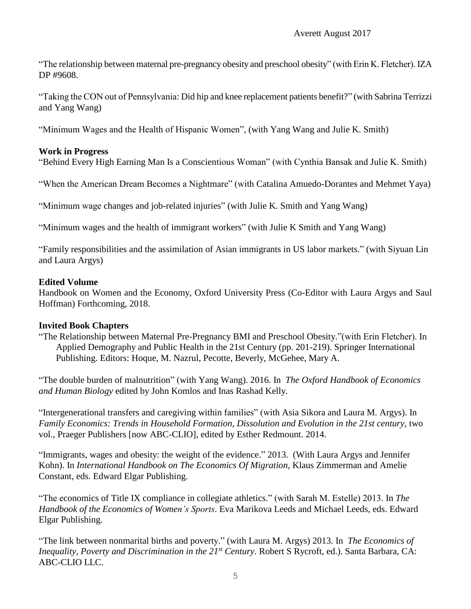"The relationship between maternal pre-pregnancy obesity and preschool obesity" (with Erin K. Fletcher). IZA DP #9608.

"Taking the CON out of Pennsylvania: Did hip and knee replacement patients benefit?" (with Sabrina Terrizzi and Yang Wang)

"Minimum Wages and the Health of Hispanic Women", (with Yang Wang and Julie K. Smith)

# **Work in Progress**

"Behind Every High Earning Man Is a Conscientious Woman" (with Cynthia Bansak and Julie K. Smith)

"When the American Dream Becomes a Nightmare" (with Catalina Amuedo-Dorantes and Mehmet Yaya)

"Minimum wage changes and job-related injuries" (with Julie K. Smith and Yang Wang)

"Minimum wages and the health of immigrant workers" (with Julie K Smith and Yang Wang)

"Family responsibilities and the assimilation of Asian immigrants in US labor markets." (with Siyuan Lin and Laura Argys)

# **Edited Volume**

Handbook on Women and the Economy, Oxford University Press (Co-Editor with Laura Argys and Saul Hoffman) Forthcoming, 2018.

# **Invited Book Chapters**

"The Relationship between Maternal Pre-Pregnancy BMI and Preschool Obesity."(with Erin Fletcher). In Applied Demography and Public Health in the 21st Century (pp. 201-219). Springer International Publishing. Editors: Hoque, M. Nazrul, Pecotte, Beverly, McGehee, Mary A.

"The double burden of malnutrition" (with Yang Wang). 2016. In *The Oxford Handbook of Economics and Human Biology* edited by John Komlos and Inas Rashad Kelly.

"Intergenerational transfers and caregiving within families" (with Asia Sikora and Laura M. Argys). In *Family Economics: Trends in Household Formation, Dissolution and Evolution in the 21st century,* two vol., Praeger Publishers [now ABC-CLIO], edited by Esther Redmount. 2014.

"Immigrants, wages and obesity: the weight of the evidence." 2013. (With Laura Argys and Jennifer Kohn). In *International Handbook on The Economics Of Migration,* Klaus Zimmerman and Amelie Constant, eds. Edward Elgar Publishing.

"The economics of Title IX compliance in collegiate athletics." (with Sarah M. Estelle) 2013. In *The Handbook of the Economics of Women's Sports*. Eva Marikova Leeds and Michael Leeds, eds. Edward Elgar Publishing.

"The link between nonmarital births and poverty." (with Laura M. Argys) 2013. In *The Economics of Inequality, Poverty and Discrimination in the 21st Century*. Robert S Rycroft, ed.). Santa Barbara, CA: ABC-CLIO LLC.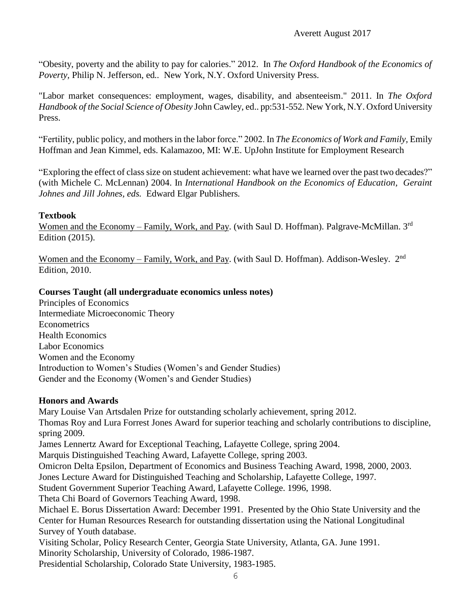"Obesity, poverty and the ability to pay for calories." 2012. In *The Oxford Handbook of the Economics of Poverty,* Philip N. Jefferson, ed*..* New York, N.Y. Oxford University Press.

"Labor market consequences: employment, wages, disability, and absenteeism." 2011. In *The Oxford Handbook of the Social Science of Obesity* John Cawley, ed.. pp:531-552. New York, N.Y. Oxford University Press.

"Fertility, public policy, and mothers in the labor force." 2002. In *The Economics of Work and Family,* Emily Hoffman and Jean Kimmel, eds. Kalamazoo, MI: W.E. UpJohn Institute for Employment Research

"Exploring the effect of class size on student achievement: what have we learned over the past two decades?" (with Michele C. McLennan) 2004. In *International Handbook on the Economics of Education, Geraint Johnes and Jill Johnes, eds.* Edward Elgar Publishers*.* 

#### **Textbook**

Women and the Economy – Family, Work, and Pay. (with Saul D. Hoffman). Palgrave-McMillan. 3<sup>rd</sup> Edition (2015).

Women and the Economy – Family, Work, and Pay. (with Saul D. Hoffman). Addison-Wesley. 2<sup>nd</sup> Edition, 2010.

#### **Courses Taught (all undergraduate economics unless notes)**

Principles of Economics Intermediate Microeconomic Theory Econometrics Health Economics Labor Economics Women and the Economy Introduction to Women's Studies (Women's and Gender Studies) Gender and the Economy (Women's and Gender Studies)

# **Honors and Awards**

Mary Louise Van Artsdalen Prize for outstanding scholarly achievement, spring 2012. Thomas Roy and Lura Forrest Jones Award for superior teaching and scholarly contributions to discipline, spring 2009. James Lennertz Award for Exceptional Teaching, Lafayette College, spring 2004. Marquis Distinguished Teaching Award, Lafayette College, spring 2003. Omicron Delta Epsilon, Department of Economics and Business Teaching Award, 1998, 2000, 2003. Jones Lecture Award for Distinguished Teaching and Scholarship, Lafayette College, 1997. Student Government Superior Teaching Award, Lafayette College. 1996, 1998. Theta Chi Board of Governors Teaching Award, 1998. Michael E. Borus Dissertation Award: December 1991. Presented by the Ohio State University and the Center for Human Resources Research for outstanding dissertation using the National Longitudinal Survey of Youth database. Visiting Scholar, Policy Research Center, Georgia State University, Atlanta, GA. June 1991. Minority Scholarship, University of Colorado, 1986-1987. Presidential Scholarship, Colorado State University, 1983-1985.